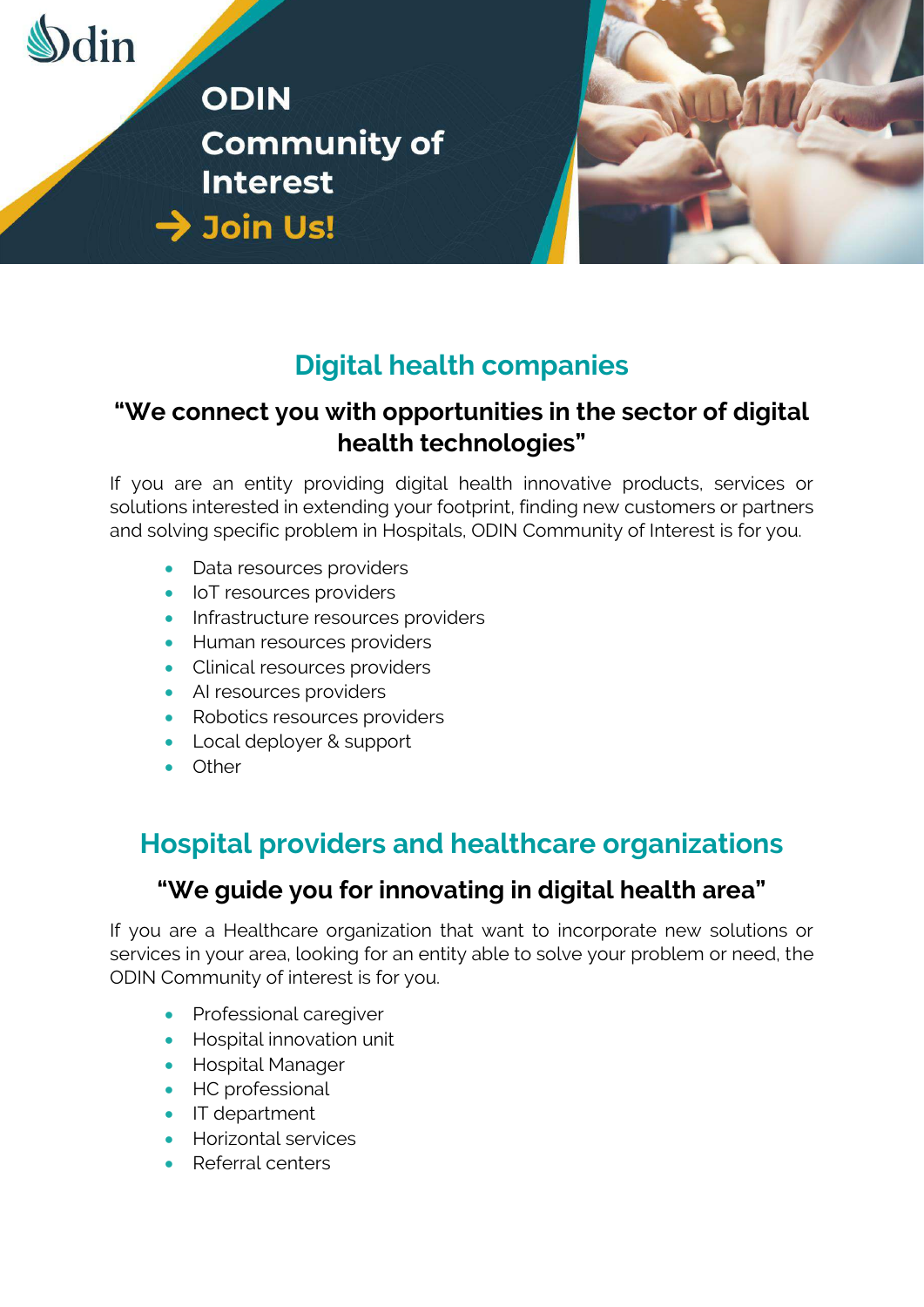

**ODIN Community of Interest**  $\rightarrow$  Join Us!



# **Digital health companies**

### **"We connect you with opportunities in the sector of digital health technologies"**

If you are an entity providing digital health innovative products, services or solutions interested in extending your footprint, finding new customers or partners and solving specific problem in Hospitals, ODIN Community of Interest is for you.

- Data resources providers
- IoT resources providers
- Infrastructure resources providers
- Human resources providers
- Clinical resources providers
- AI resources providers
- Robotics resources providers
- Local deployer & support
- Other

## **Hospital providers and healthcare organizations**

### **"We guide you for innovating in digital health area"**

If you are a Healthcare organization that want to incorporate new solutions or services in your area, looking for an entity able to solve your problem or need, the ODIN Community of interest is for you.

- Professional caregiver
- Hospital innovation unit
- Hospital Manager
- HC professional
- IT department
- Horizontal services
- Referral centers